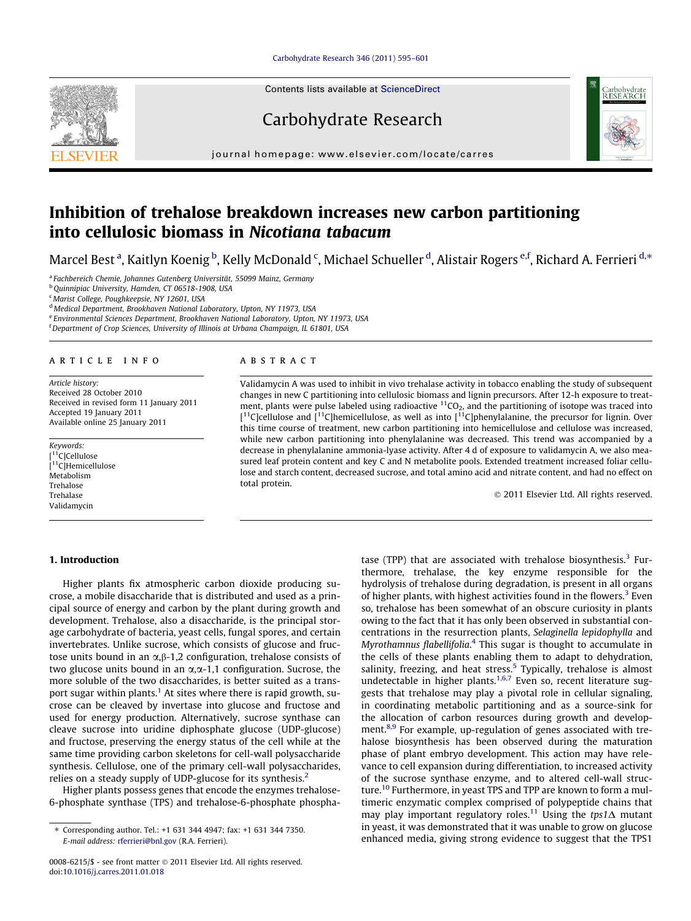# [Carbohydrate Research 346 \(2011\) 595–601](http://dx.doi.org/10.1016/j.carres.2011.01.018)

Contents lists available at [ScienceDirect](http://www.sciencedirect.com/science/journal/00086215)

Carbohydrate Research

journal homepage: [www.elsevier.com/locate/carres](http://www.elsevier.com/locate/carres)

# Inhibition of trehalose breakdown increases new carbon partitioning into cellulosic biomass in Nicotiana tabacum

Marcel Best <sup>a</sup>, Kaitlyn Koenig <sup>b</sup>, Kelly McDonald <sup>c</sup>, Michael Schueller <sup>d</sup>, Alistair Rogers <sup>e,f</sup>, Richard A. Ferrieri <sup>d,</sup>\*

<sup>a</sup> Fachbereich Chemie, Johannes Gutenberg Universität, 55099 Mainz, Germany

<sup>b</sup> Quinnipiac University, Hamden, CT 06518-1908, USA

<sup>c</sup> Marist College, Poughkeepsie, NY 12601, USA

<sup>d</sup> Medical Department, Brookhaven National Laboratory, Upton, NY 11973, USA

<sup>e</sup> Environmental Sciences Department, Brookhaven National Laboratory, Upton, NY 11973, USA <sup>f</sup> Department of Crop Sciences, University of Illinois at Urbana Champaign, IL 61801, USA

# article info

Article history: Received 28 October 2010 Received in revised form 11 January 2011 Accepted 19 January 2011 Available online 25 January 2011

Keywords: [<sup>11</sup>C]Cellulose [ 11C]Hemicellulose Metabolism Trehalose Trehalase Validamycin

# 1. Introduction

#### abstract

Validamycin A was used to inhibit in vivo trehalase activity in tobacco enabling the study of subsequent changes in new C partitioning into cellulosic biomass and lignin precursors. After 12-h exposure to treatment, plants were pulse labeled using radioactive  ${}^{11}CO_2$ , and the partitioning of isotope was traced into [ $11C$ cellulose and [ $11C$ ]hemicellulose, as well as into [ $11C$ ]phenylalanine, the precursor for lignin. Over this time course of treatment, new carbon partitioning into hemicellulose and cellulose was increased, while new carbon partitioning into phenylalanine was decreased. This trend was accompanied by a decrease in phenylalanine ammonia-lyase activity. After 4 d of exposure to validamycin A, we also measured leaf protein content and key C and N metabolite pools. Extended treatment increased foliar cellulose and starch content, decreased sucrose, and total amino acid and nitrate content, and had no effect on total protein.

- 2011 Elsevier Ltd. All rights reserved.

Higher plants fix atmospheric carbon dioxide producing sucrose, a mobile disaccharide that is distributed and used as a principal source of energy and carbon by the plant during growth and development. Trehalose, also a disaccharide, is the principal storage carbohydrate of bacteria, yeast cells, fungal spores, and certain invertebrates. Unlike sucrose, which consists of glucose and fructose units bound in an  $\alpha$ ,  $\beta$ -1,2 configuration, trehalose consists of two glucose units bound in an  $\alpha, \alpha$ -1,1 configuration. Sucrose, the more soluble of the two disaccharides, is better suited as a trans-port sugar within plants.<sup>[1](#page-5-0)</sup> At sites where there is rapid growth, sucrose can be cleaved by invertase into glucose and fructose and used for energy production. Alternatively, sucrose synthase can cleave sucrose into uridine diphosphate glucose (UDP-glucose) and fructose, preserving the energy status of the cell while at the same time providing carbon skeletons for cell-wall polysaccharide synthesis. Cellulose, one of the primary cell-wall polysaccharides, relies on a steady supply of UDP-glucose for its synthesis.<sup>[2](#page-5-0)</sup>

Higher plants possess genes that encode the enzymes trehalose-6-phosphate synthase (TPS) and trehalose-6-phosphate phosphatase (TPP) that are associated with trehalose biosynthesis.<sup>[3](#page-5-0)</sup> Furthermore, trehalase, the key enzyme responsible for the hydrolysis of trehalose during degradation, is present in all organs of higher plants, with highest activities found in the flowers.<sup>[3](#page-5-0)</sup> Even so, trehalose has been somewhat of an obscure curiosity in plants owing to the fact that it has only been observed in substantial concentrations in the resurrection plants, Selaginella lepidophylla and Myrothamnus flabellifolia.<sup>[4](#page-5-0)</sup> This sugar is thought to accumulate in the cells of these plants enabling them to adapt to dehydration, salinity, freezing, and heat stress.<sup>[5](#page-5-0)</sup> Typically, trehalose is almost undetectable in higher plants. $1,6,7$  Even so, recent literature suggests that trehalose may play a pivotal role in cellular signaling, in coordinating metabolic partitioning and as a source-sink for the allocation of carbon resources during growth and development.<sup>8,9</sup> For example, up-regulation of genes associated with trehalose biosynthesis has been observed during the maturation phase of plant embryo development. This action may have relevance to cell expansion during differentiation, to increased activity of the sucrose synthase enzyme, and to altered cell-wall structure.<sup>10</sup> Furthermore, in yeast TPS and TPP are known to form a multimeric enzymatic complex comprised of polypeptide chains that may play important regulatory roles.<sup>[11](#page-5-0)</sup> Using the tps1 $\Delta$  mutant in yeast, it was demonstrated that it was unable to grow on glucose enhanced media, giving strong evidence to suggest that the TPS1





<sup>⇑</sup> Corresponding author. Tel.: +1 631 344 4947; fax: +1 631 344 7350. E-mail address: [rferrieri@bnl.gov](mailto:rferrieri@bnl.gov) (R.A. Ferrieri).

<sup>0008-6215/\$ -</sup> see front matter © 2011 Elsevier Ltd. All rights reserved. doi[:10.1016/j.carres.2011.01.018](http://dx.doi.org/10.1016/j.carres.2011.01.018)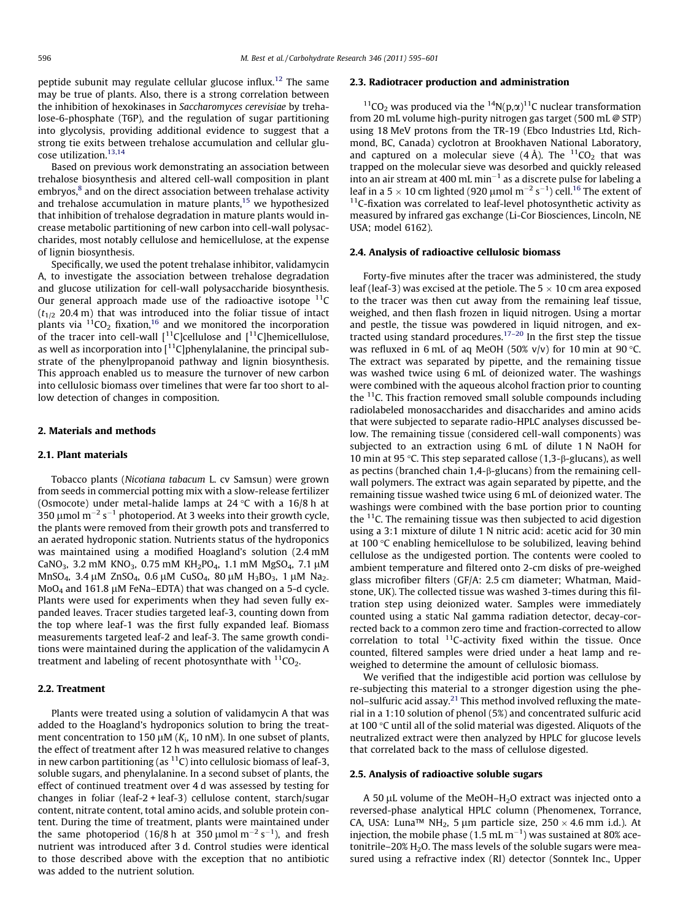peptide subunit may regulate cellular glucose influx.<sup>[12](#page-5-0)</sup> The same may be true of plants. Also, there is a strong correlation between the inhibition of hexokinases in Saccharomyces cerevisiae by trehalose-6-phosphate (T6P), and the regulation of sugar partitioning into glycolysis, providing additional evidence to suggest that a strong tie exits between trehalose accumulation and cellular glu-cose utilization.<sup>[13,14](#page-5-0)</sup>

Based on previous work demonstrating an association between trehalose biosynthesis and altered cell-wall composition in plant embryos, $8$  and on the direct association between trehalase activity and trehalose accumulation in mature plants, $15$  we hypothesized that inhibition of trehalose degradation in mature plants would increase metabolic partitioning of new carbon into cell-wall polysaccharides, most notably cellulose and hemicellulose, at the expense of lignin biosynthesis.

Specifically, we used the potent trehalase inhibitor, validamycin A, to investigate the association between trehalose degradation and glucose utilization for cell-wall polysaccharide biosynthesis. Our general approach made use of the radioactive isotope  $^{11}C$  $(t_{1/2}$  20.4 m) that was introduced into the foliar tissue of intact plants via  $1^{12}CO_2$  fixation,<sup>16</sup> and we monitored the incorporation of the tracer into cell-wall  $[11C]$ cellulose and  $[11C]$ hemicellulose, as well as incorporation into  $\left[ \begin{array}{c} 11 \end{array} \right]$ c]phenylalanine, the principal substrate of the phenylpropanoid pathway and lignin biosynthesis. This approach enabled us to measure the turnover of new carbon into cellulosic biomass over timelines that were far too short to allow detection of changes in composition.

#### 2. Materials and methods

#### 2.1. Plant materials

Tobacco plants (Nicotiana tabacum L. cv Samsun) were grown from seeds in commercial potting mix with a slow-release fertilizer (Osmocote) under metal-halide lamps at  $24$  °C with a  $16/8$  h at 350  $\mu$ mol m $^{-2}$  s $^{-1}$  photoperiod. At 3 weeks into their growth cycle, the plants were removed from their growth pots and transferred to an aerated hydroponic station. Nutrients status of the hydroponics was maintained using a modified Hoagland's solution (2.4 mM CaNO<sub>3</sub>, 3.2 mM KNO<sub>3</sub>, 0.75 mM KH<sub>2</sub>PO<sub>4</sub>, 1.1 mM MgSO<sub>4</sub>, 7.1  $\mu$ M MnSO<sub>4</sub>, 3.4  $\mu$ M ZnSO<sub>4</sub>, 0.6  $\mu$ M CuSO<sub>4</sub>, 80  $\mu$ M H<sub>3</sub>BO<sub>3</sub>, 1  $\mu$ M Na<sub>2-</sub>  $MoO<sub>4</sub>$  and 161.8  $µM$  FeNa–EDTA) that was changed on a 5-d cycle. Plants were used for experiments when they had seven fully expanded leaves. Tracer studies targeted leaf-3, counting down from the top where leaf-1 was the first fully expanded leaf. Biomass measurements targeted leaf-2 and leaf-3. The same growth conditions were maintained during the application of the validamycin A treatment and labeling of recent photosynthate with  ${}^{11}CO_2$ .

# 2.2. Treatment

Plants were treated using a solution of validamycin A that was added to the Hoagland's hydroponics solution to bring the treatment concentration to 150  $\mu$ M ( $K_i$ , 10 nM). In one subset of plants, the effect of treatment after 12 h was measured relative to changes in new carbon partitioning (as  ${}^{11}C$ ) into cellulosic biomass of leaf-3, soluble sugars, and phenylalanine. In a second subset of plants, the effect of continued treatment over 4 d was assessed by testing for changes in foliar (leaf-2 + leaf-3) cellulose content, starch/sugar content, nitrate content, total amino acids, and soluble protein content. During the time of treatment, plants were maintained under the same photoperiod (16/8 h at 350  $\mu$ mol m<sup>-2</sup> s<sup>-1</sup>), and fresh nutrient was introduced after 3 d. Control studies were identical to those described above with the exception that no antibiotic was added to the nutrient solution.

#### 2.3. Radiotracer production and administration

<sup>11</sup>CO<sub>2</sub> was produced via the <sup>14</sup>N(p, $\alpha$ )<sup>11</sup>C nuclear transformation from 20 mL volume high-purity nitrogen gas target (500 mL @ STP) using 18 MeV protons from the TR-19 (Ebco Industries Ltd, Richmond, BC, Canada) cyclotron at Brookhaven National Laboratory, and captured on a molecular sieve  $(4 \text{ Å})$ . The  $^{11}CO_2$  that was trapped on the molecular sieve was desorbed and quickly released into an air stream at 400 mL  $min^{-1}$  as a discrete pulse for labeling a leaf in a 5  $\times$  10 cm lighted (920 µmol m<sup>-2</sup> s<sup>-1</sup>) cell.<sup>[16](#page-5-0)</sup> The extent of  $11$ C-fixation was correlated to leaf-level photosynthetic activity as measured by infrared gas exchange (Li-Cor Biosciences, Lincoln, NE USA; model 6162).

#### 2.4. Analysis of radioactive cellulosic biomass

Forty-five minutes after the tracer was administered, the study leaf (leaf-3) was excised at the petiole. The  $5 \times 10$  cm area exposed to the tracer was then cut away from the remaining leaf tissue, weighed, and then flash frozen in liquid nitrogen. Using a mortar and pestle, the tissue was powdered in liquid nitrogen, and extracted using standard procedures.<sup>17–20</sup> In the first step the tissue was refluxed in 6 mL of aq MeOH (50% v/v) for 10 min at 90 °C. The extract was separated by pipette, and the remaining tissue was washed twice using 6 mL of deionized water. The washings were combined with the aqueous alcohol fraction prior to counting the  $11$ C. This fraction removed small soluble compounds including radiolabeled monosaccharides and disaccharides and amino acids that were subjected to separate radio-HPLC analyses discussed below. The remaining tissue (considered cell-wall components) was subjected to an extraction using 6 mL of dilute 1 N NaOH for 10 min at 95 °C. This step separated callose  $(1,3-\beta)$ -glucans), as well as pectins (branched chain  $1,4$ - $\beta$ -glucans) from the remaining cellwall polymers. The extract was again separated by pipette, and the remaining tissue washed twice using 6 mL of deionized water. The washings were combined with the base portion prior to counting the  $11C$ . The remaining tissue was then subjected to acid digestion using a 3:1 mixture of dilute 1 N nitric acid: acetic acid for 30 min at 100 $\degree$ C enabling hemicellulose to be solubilized, leaving behind cellulose as the undigested portion. The contents were cooled to ambient temperature and filtered onto 2-cm disks of pre-weighed glass microfiber filters (GF/A: 2.5 cm diameter; Whatman, Maidstone, UK). The collected tissue was washed 3-times during this filtration step using deionized water. Samples were immediately counted using a static NaI gamma radiation detector, decay-corrected back to a common zero time and fraction-corrected to allow correlation to total  $^{11}$ C-activity fixed within the tissue. Once counted, filtered samples were dried under a heat lamp and reweighed to determine the amount of cellulosic biomass.

We verified that the indigestible acid portion was cellulose by re-subjecting this material to a stronger digestion using the phenol–sulfuric acid assay. $21$  This method involved refluxing the material in a 1:10 solution of phenol (5%) and concentrated sulfuric acid at 100 $\degree$ C until all of the solid material was digested. Aliquots of the neutralized extract were then analyzed by HPLC for glucose levels that correlated back to the mass of cellulose digested.

#### 2.5. Analysis of radioactive soluble sugars

A 50  $\mu$ L volume of the MeOH–H<sub>2</sub>O extract was injected onto a reversed-phase analytical HPLC column (Phenomenex, Torrance, CA, USA: Luna™ NH<sub>2</sub>, 5 µm particle size,  $250 \times 4.6$  mm i.d.). At injection, the mobile phase (1.5 mL  $m^{-1}$ ) was sustained at 80% acetonitrile–20%  $H<sub>2</sub>O$ . The mass levels of the soluble sugars were measured using a refractive index (RI) detector (Sonntek Inc., Upper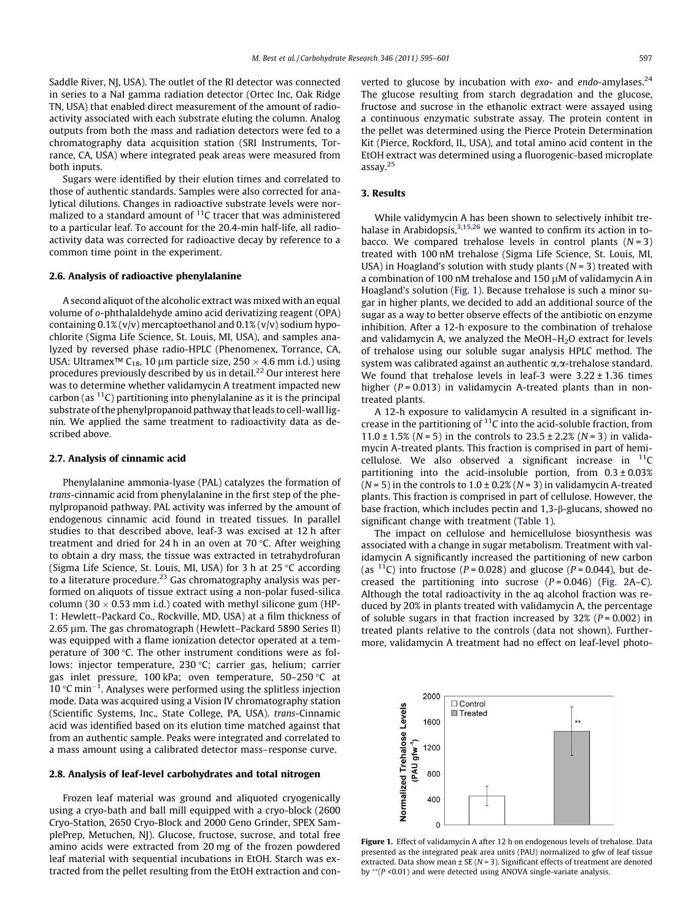Saddle River, NJ, USA). The outlet of the RI detector was connected in series to a NaI gamma radiation detector (Ortec Inc, Oak Ridge TN, USA) that enabled direct measurement of the amount of radioactivity associated with each substrate eluting the column. Analog outputs from both the mass and radiation detectors were fed to a chromatography data acquisition station (SRI Instruments, Torrance, CA, USA) where integrated peak areas were measured from both inputs.

Sugars were identified by their elution times and correlated to those of authentic standards. Samples were also corrected for analytical dilutions. Changes in radioactive substrate levels were normalized to a standard amount of 11C tracer that was administered to a particular leaf. To account for the 20.4-min half-life, all radioactivity data was corrected for radioactive decay by reference to a common time point in the experiment.

# 2.6. Analysis of radioactive phenylalanine

A second aliquot of the alcoholic extract was mixed with an equal volume of o-phthalaldehyde amino acid derivatizing reagent (OPA) containing  $0.1\%$  (v/v) mercaptoethanol and  $0.1\%$  (v/v) sodium hypochlorite (Sigma Life Science, St. Louis, MI, USA), and samples analyzed by reversed phase radio-HPLC (Phenomenex, Torrance, CA, USA: Ultramex™ C<sub>18</sub>, 10 µm particle size, 250  $\times$  4.6 mm i.d.) using procedures previously described by us in detail.<sup>[22](#page-5-0)</sup> Our interest here was to determine whether validamycin A treatment impacted new carbon (as  $11C$ ) partitioning into phenylalanine as it is the principal substrate of the phenylpropanoid pathway that leads to cell-wall lignin. We applied the same treatment to radioactivity data as described above.

#### 2.7. Analysis of cinnamic acid

Phenylalanine ammonia-lyase (PAL) catalyzes the formation of trans-cinnamic acid from phenylalanine in the first step of the phenylpropanoid pathway. PAL activity was inferred by the amount of endogenous cinnamic acid found in treated tissues. In parallel studies to that described above, leaf-3 was excised at 12 h after treatment and dried for 24 h in an oven at 70  $\degree$ C. After weighing to obtain a dry mass, the tissue was extracted in tetrahydrofuran (Sigma Life Science, St. Louis, MI, USA) for 3 h at 25  $\degree$ C according to a literature procedure.<sup>23</sup> Gas chromatography analysis was performed on aliquots of tissue extract using a non-polar fused-silica column (30  $\times$  0.53 mm i.d.) coated with methyl silicone gum (HP-1: Hewlett–Packard Co., Rockville, MD, USA) at a film thickness of 2.65 µm. The gas chromatograph (Hewlett–Packard 5890 Series II) was equipped with a flame ionization detector operated at a temperature of 300 $\degree$ C. The other instrument conditions were as follows: injector temperature, 230 °C; carrier gas, helium; carrier gas inlet pressure, 100 kPa; oven temperature, 50-250 °C at 10 $\degree$ C min<sup>-1</sup>. Analyses were performed using the splitless injection mode. Data was acquired using a Vision IV chromatography station (Scientific Systems, Inc., State College, PA, USA). trans-Cinnamic acid was identified based on its elution time matched against that from an authentic sample. Peaks were integrated and correlated to a mass amount using a calibrated detector mass–response curve.

#### 2.8. Analysis of leaf-level carbohydrates and total nitrogen

Frozen leaf material was ground and aliquoted cryogenically using a cryo-bath and ball mill equipped with a cryo-block (2600 Cryo-Station, 2650 Cryo-Block and 2000 Geno Grinder, SPEX SamplePrep, Metuchen, NJ). Glucose, fructose, sucrose, and total free amino acids were extracted from 20 mg of the frozen powdered leaf material with sequential incubations in EtOH. Starch was extracted from the pellet resulting from the EtOH extraction and converted to glucose by incubation with  $exo-$  and endo-amylases.<sup>[24](#page-5-0)</sup> The glucose resulting from starch degradation and the glucose, fructose and sucrose in the ethanolic extract were assayed using a continuous enzymatic substrate assay. The protein content in the pellet was determined using the Pierce Protein Determination Kit (Pierce, Rockford, IL, USA), and total amino acid content in the EtOH extract was determined using a fluorogenic-based microplate assay.[25](#page-5-0)

#### 3. Results

While validymycin A has been shown to selectively inhibit trehalase in Arabidopsis,  $3,15,26$  we wanted to confirm its action in tobacco. We compared trehalose levels in control plants  $(N = 3)$ treated with 100 nM trehalose (Sigma Life Science, St. Louis, MI, USA) in Hoagland's solution with study plants ( $N = 3$ ) treated with a combination of 100 nM trehalose and 150  $\mu$ M of validamycin A in Hoagland's solution (Fig. 1). Because trehalose is such a minor sugar in higher plants, we decided to add an additional source of the sugar as a way to better observe effects of the antibiotic on enzyme inhibition. After a 12-h exposure to the combination of trehalose and validamycin A, we analyzed the MeOH- $H<sub>2</sub>O$  extract for levels of trehalose using our soluble sugar analysis HPLC method. The system was calibrated against an authentic  $\alpha, \alpha$ -trehalose standard. We found that trehalose levels in leaf-3 were  $3.22 \pm 1.36$  times higher ( $P = 0.013$ ) in validamycin A-treated plants than in nontreated plants.

A 12-h exposure to validamycin A resulted in a significant increase in the partitioning of  ${}^{11}C$  into the acid-soluble fraction, from 11.0 ± 1.5% ( $N = 5$ ) in the controls to 23.5 ± 2.2% ( $N = 3$ ) in validamycin A-treated plants. This fraction is comprised in part of hemicellulose. We also observed a significant increase in  $^{11}$ C partitioning into the acid-insoluble portion, from  $0.3 \pm 0.03\%$  $(N = 5)$  in the controls to  $1.0 \pm 0.2\%$   $(N = 3)$  in validamycin A-treated plants. This fraction is comprised in part of cellulose. However, the base fraction, which includes pectin and  $1,3-\beta$ -glucans, showed no significant change with treatment [\(Table 1](#page-3-0)).

The impact on cellulose and hemicellulose biosynthesis was associated with a change in sugar metabolism. Treatment with validamycin A significantly increased the partitioning of new carbon (as <sup>11</sup>C) into fructose ( $P = 0.028$ ) and glucose ( $P = 0.044$ ), but decreased the partitioning into sucrose  $(P = 0.046)$  ([Fig. 2A](#page-3-0)–C). Although the total radioactivity in the aq alcohol fraction was reduced by 20% in plants treated with validamycin A, the percentage of soluble sugars in that fraction increased by  $32\%$  ( $P = 0.002$ ) in treated plants relative to the controls (data not shown). Furthermore, validamycin A treatment had no effect on leaf-level photo-



Figure 1. Effect of validamycin A after 12 h on endogenous levels of trehalose. Data presented as the integrated peak area units (PAU) normalized to gfw of leaf tissue extracted. Data show mean  $\pm$  SE (N = 3). Significant effects of treatment are denoted by  $*$  $(P$  <0.01) and were detected using ANOVA single-variate analysis.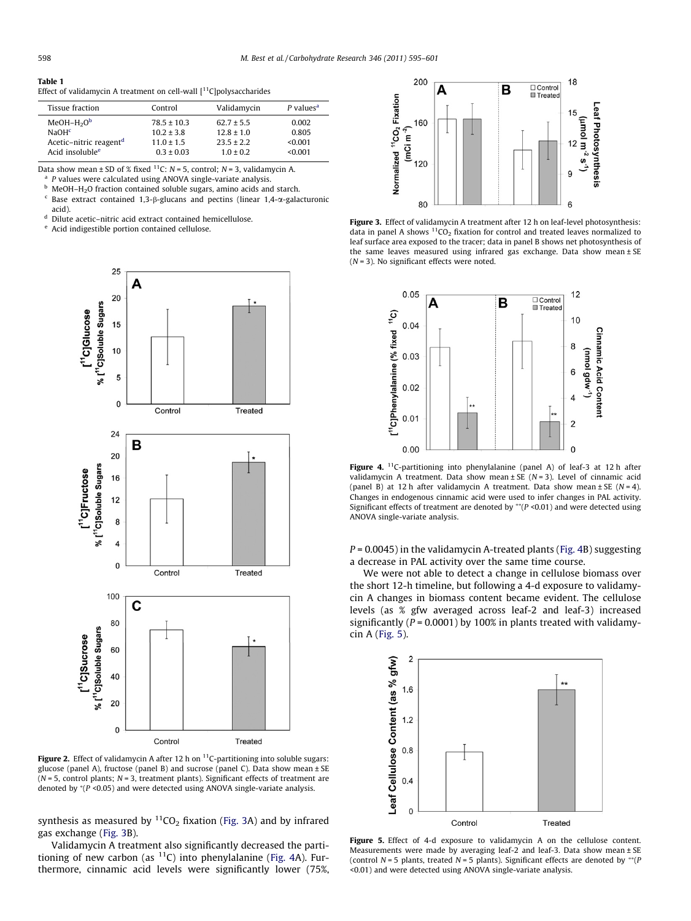### Table 1

| Effect of validamycin A treatment on cell-wall [ <sup>11</sup> C]polysaccharides |  |
|----------------------------------------------------------------------------------|--|
|----------------------------------------------------------------------------------|--|

| Tissue fraction                    | Control         | Validamycin    | P values <sup>a</sup> |
|------------------------------------|-----------------|----------------|-----------------------|
| $MeOH-H2Ob$                        | $78.5 \pm 10.3$ | $62.7 \pm 5.5$ | 0.002                 |
| NaOH <sup>c</sup>                  | $10.2 \pm 3.8$  | $12.8 \pm 1.0$ | 0.805                 |
| Acetic-nitric reagent <sup>d</sup> | $11.0 \pm 1.5$  | $23.5 \pm 2.2$ | < 0.001               |
| Acid insoluble <sup>e</sup>        | $0.3 \pm 0.03$  | $1.0 \pm 0.2$  | < 0.001               |

Data show mean  $\pm$  SD of % fixed <sup>11</sup>C: N = 5, control; N = 3, validamycin A.

 $A$  P values were calculated using ANOVA single-variate analysis.

b MeOH–H<sub>2</sub>O fraction contained soluble sugars, amino acids and starch.<br>
<sup>b</sup> Base extract contained 1,3-<sub>b-glucans and pectins (linear 1,4-a-galacturonic<sup>e</sup></sub> acid).

<sup>d</sup> Dilute acetic–nitric acid extract contained hemicellulose.

<sup>e</sup> Acid indigestible portion contained cellulose.



Figure 2. Effect of validamycin A after 12 h on  $^{11}$ C-partitioning into soluble sugars: glucose (panel A), fructose (panel B) and sucrose (panel C). Data show mean ± SE  $(N = 5$ , control plants;  $N = 3$ , treatment plants). Significant effects of treatment are denoted by \*(P <0.05) and were detected using ANOVA single-variate analysis.

synthesis as measured by  ${}^{11}CO_2$  fixation (Fig. 3A) and by infrared gas exchange (Fig. 3B).

Validamycin A treatment also significantly decreased the partitioning of new carbon (as  $<sup>11</sup>C$ ) into phenylalanine (Fig. 4A). Fur-</sup> thermore, cinnamic acid levels were significantly lower (75%,



Figure 3. Effect of validamycin A treatment after 12 h on leaf-level photosynthesis: data in panel A shows  ${}^{11}CO_2$  fixation for control and treated leaves normalized to leaf surface area exposed to the tracer; data in panel B shows net photosynthesis of the same leaves measured using infrared gas exchange. Data show mean  $\pm$  SE  $(N = 3)$ . No significant effects were noted.



Figure 4. <sup>11</sup>C-partitioning into phenylalanine (panel A) of leaf-3 at 12 h after validamycin A treatment. Data show mean  $\pm$  SE (N = 3). Level of cinnamic acid (panel B) at 12 h after validamycin A treatment. Data show mean  $\pm$  SE (N = 4). Changes in endogenous cinnamic acid were used to infer changes in PAL activity. Significant effects of treatment are denoted by  $^{**}(P \le 0.01)$  and were detected using ANOVA single-variate analysis.

 $P = 0.0045$ ) in the validamycin A-treated plants (Fig. 4B) suggesting a decrease in PAL activity over the same time course.

We were not able to detect a change in cellulose biomass over the short 12-h timeline, but following a 4-d exposure to validamycin A changes in biomass content became evident. The cellulose levels (as % gfw averaged across leaf-2 and leaf-3) increased significantly ( $P = 0.0001$ ) by 100% in plants treated with validamycin A (Fig. 5).



Figure 5. Effect of 4-d exposure to validamycin A on the cellulose content. Measurements were made by averaging leaf-2 and leaf-3. Data show mean ± SE (control N = 5 plants, treated N = 5 plants). Significant effects are denoted by \*\* (P <0.01) and were detected using ANOVA single-variate analysis.

<span id="page-3-0"></span>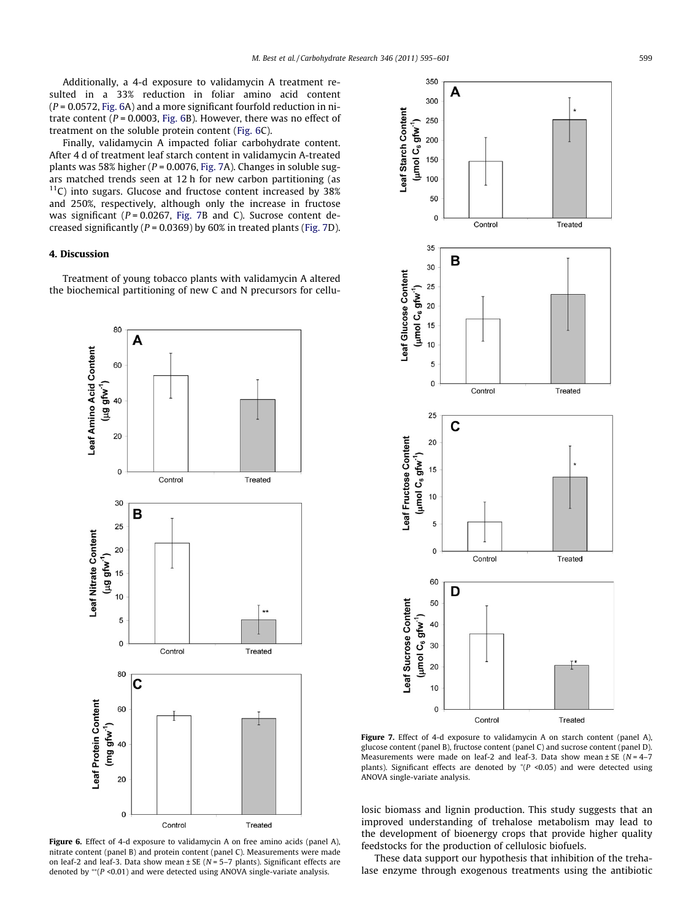Additionally, a 4-d exposure to validamycin A treatment resulted in a 33% reduction in foliar amino acid content  $(P = 0.0572$ . Fig. 6A) and a more significant fourfold reduction in nitrate content ( $P = 0.0003$ , Fig. 6B). However, there was no effect of treatment on the soluble protein content (Fig. 6C).

Finally, validamycin A impacted foliar carbohydrate content. After 4 d of treatment leaf starch content in validamycin A-treated plants was 58% higher ( $P = 0.0076$ , Fig. 7A). Changes in soluble sugars matched trends seen at 12 h for new carbon partitioning (as  $11^{\circ}$ C) into sugars. Glucose and fructose content increased by 38% and 250%, respectively, although only the increase in fructose was significant ( $P = 0.0267$ , Fig. 7B and C). Sucrose content decreased significantly ( $P = 0.0369$ ) by 60% in treated plants (Fig. 7D).

# 4. Discussion

Treatment of young tobacco plants with validamycin A altered the biochemical partitioning of new C and N precursors for cellu-



Figure 6. Effect of 4-d exposure to validamycin A on free amino acids (panel A), nitrate content (panel B) and protein content (panel C). Measurements were made on leaf-2 and leaf-3. Data show mean  $\pm$  SE (N = 5-7 plants). Significant effects are denoted by  $^{**}(P \le 0.01)$  and were detected using ANOVA single-variate analysis.



Figure 7. Effect of 4-d exposure to validamycin A on starch content (panel A), glucose content (panel B), fructose content (panel C) and sucrose content (panel D). Measurements were made on leaf-2 and leaf-3. Data show mean  $\pm$  SE (N = 4-7 plants). Significant effects are denoted by  $*(P \le 0.05)$  and were detected using ANOVA single-variate analysis.

losic biomass and lignin production. This study suggests that an improved understanding of trehalose metabolism may lead to the development of bioenergy crops that provide higher quality feedstocks for the production of cellulosic biofuels.

These data support our hypothesis that inhibition of the trehalase enzyme through exogenous treatments using the antibiotic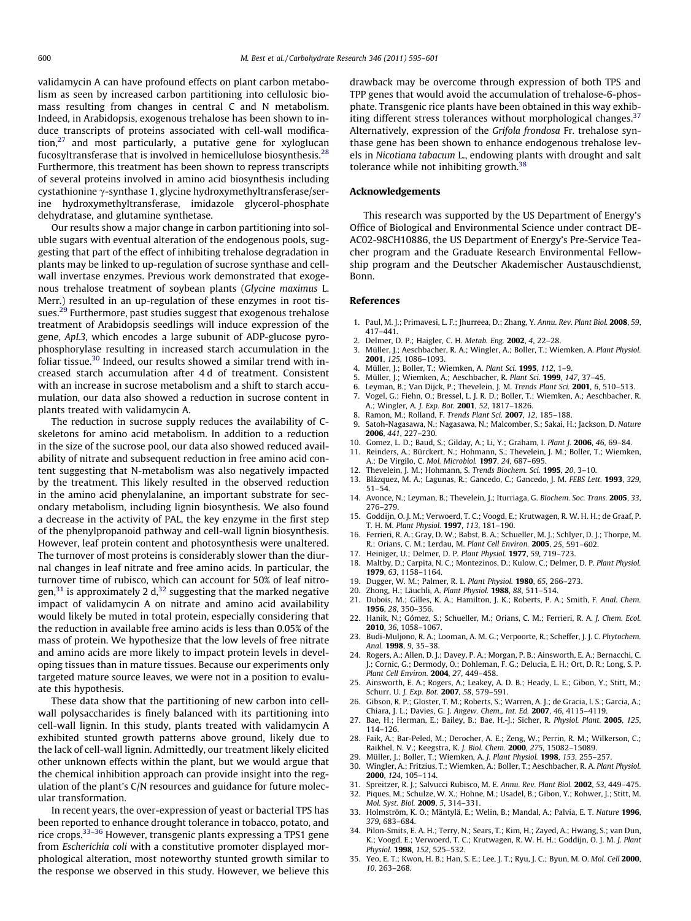<span id="page-5-0"></span>validamycin A can have profound effects on plant carbon metabolism as seen by increased carbon partitioning into cellulosic biomass resulting from changes in central C and N metabolism. Indeed, in Arabidopsis, exogenous trehalose has been shown to induce transcripts of proteins associated with cell-wall modification, $27$  and most particularly, a putative gene for xyloglucan fucosyltransferase that is involved in hemicellulose biosynthesis.<sup>28</sup> Furthermore, this treatment has been shown to repress transcripts of several proteins involved in amino acid biosynthesis including cystathionine  $\gamma$ -synthase 1, glycine hydroxymethyltransferase/serine hydroxymethyltransferase, imidazole glycerol-phosphate dehydratase, and glutamine synthetase.

Our results show a major change in carbon partitioning into soluble sugars with eventual alteration of the endogenous pools, suggesting that part of the effect of inhibiting trehalose degradation in plants may be linked to up-regulation of sucrose synthase and cellwall invertase enzymes. Previous work demonstrated that exogenous trehalose treatment of soybean plants (Glycine maximus L. Merr.) resulted in an up-regulation of these enzymes in root tissues.<sup>29</sup> Furthermore, past studies suggest that exogenous trehalose treatment of Arabidopsis seedlings will induce expression of the gene, ApL3, which encodes a large subunit of ADP-glucose pyrophosphorylase resulting in increased starch accumulation in the foliar tissue.30 Indeed, our results showed a similar trend with increased starch accumulation after 4 d of treatment. Consistent with an increase in sucrose metabolism and a shift to starch accumulation, our data also showed a reduction in sucrose content in plants treated with validamycin A.

The reduction in sucrose supply reduces the availability of Cskeletons for amino acid metabolism. In addition to a reduction in the size of the sucrose pool, our data also showed reduced availability of nitrate and subsequent reduction in free amino acid content suggesting that N-metabolism was also negatively impacted by the treatment. This likely resulted in the observed reduction in the amino acid phenylalanine, an important substrate for secondary metabolism, including lignin biosynthesis. We also found a decrease in the activity of PAL, the key enzyme in the first step of the phenylpropanoid pathway and cell-wall lignin biosynthesis. However, leaf protein content and photosynthesis were unaltered. The turnover of most proteins is considerably slower than the diurnal changes in leaf nitrate and free amino acids. In particular, the turnover time of rubisco, which can account for 50% of leaf nitrogen,<sup>31</sup> is approximately 2 d,<sup>32</sup> suggesting that the marked negative impact of validamycin A on nitrate and amino acid availability would likely be muted in total protein, especially considering that the reduction in available free amino acids is less than 0.05% of the mass of protein. We hypothesize that the low levels of free nitrate and amino acids are more likely to impact protein levels in developing tissues than in mature tissues. Because our experiments only targeted mature source leaves, we were not in a position to evaluate this hypothesis.

These data show that the partitioning of new carbon into cellwall polysaccharides is finely balanced with its partitioning into cell-wall lignin. In this study, plants treated with validamycin A exhibited stunted growth patterns above ground, likely due to the lack of cell-wall lignin. Admittedly, our treatment likely elicited other unknown effects within the plant, but we would argue that the chemical inhibition approach can provide insight into the regulation of the plant's C/N resources and guidance for future molecular transformation.

In recent years, the over-expression of yeast or bacterial TPS has been reported to enhance drought tolerance in tobacco, potato, and rice crops.33–36 However, transgenic plants expressing a TPS1 gene from Escherichia coli with a constitutive promoter displayed morphological alteration, most noteworthy stunted growth similar to the response we observed in this study. However, we believe this drawback may be overcome through expression of both TPS and TPP genes that would avoid the accumulation of trehalose-6-phosphate. Transgenic rice plants have been obtained in this way exhibiting different stress tolerances without morphological changes. $37$ Alternatively, expression of the Grifola frondosa Fr. trehalose synthase gene has been shown to enhance endogenous trehalose levels in Nicotiana tabacum L., endowing plants with drought and salt tolerance while not inhibiting growth.<sup>38</sup>

# Acknowledgements

This research was supported by the US Department of Energy's Office of Biological and Environmental Science under contract DE-AC02-98CH10886, the US Department of Energy's Pre-Service Teacher program and the Graduate Research Environmental Fellowship program and the Deutscher Akademischer Austauschdienst, Bonn.

### References

- 1. Paul, M. J.; Primavesi, L. F.; Jhurreea, D.; Zhang, Y. Annu. Rev. Plant Biol. 2008, 59, 417–441.
- 2. Delmer, D. P.; Haigler, C. H. Metab. Eng. 2002, 4, 22-28.<br>3. Müller J.: Aeschbacher R. A.: Wingler, A.: Boller, T.: Wie
- Müller, J.; Aeschbacher, R. A.; Wingler, A.; Boller, T.; Wiemken, A. Plant Physiol. 2001, 125, 1086–1093.
- 4. Müller, J.; Boller, T.; Wiemken, A. Plant Sci. 1995, 112, 1–9.
- 5. Müller, J.; Wiemken, A.; Aeschbacher, R. Plant Sci. 1999, 147, 37–45.<br>6. Leyman, B.: Van Diick, P.: Theyelein, J. M. Trends Plant Sci. 2001, 6.
- 6. Leyman, B.; Van Dijck, P.; Thevelein, J. M. Trends Plant Sci. 2001, 6, 510–513.<br>7. Vogel. G.: Fiehn. O.: Bressel. L. J. R. D.: Boller. T.: Wiemken. A.: Aeschbacher. I
- 7. Vogel, G.; Fiehn, O.; Bressel, L. J. R. D.; Boller, T.; Wiemken, A.; Aeschbacher, R. A.; Wingler, A. J. Exp. Bot. 2001, 52, 1817–1826.
- 8. Ramon, M.; Rolland, F. Trends Plant Sci. 2007, 12, 185–188.
- 9. Satoh-Nagasawa, N.; Nagasawa, N.; Malcomber, S.; Sakai, H.; Jackson, D. Nature 2006, 441, 227–230.
- 10. Gomez, L. D.; Baud, S.; Gilday, A.; Li, Y.; Graham, I. Plant J. 2006, 46, 69–84.
- 11. Reinders, A.; Bürckert, N.; Hohmann, S.; Thevelein, J. M.; Boller, T.; Wiemken, A.; De Virgilo, C. Mol. Microbiol. 1997, 24, 687–695.
- 12. Thevelein, J. M.; Hohmann, S. Trends Biochem. Sci. 1995, 20, 3-10.
- 13. Blázquez, M. A.; Lagunas, R.; Gancedo, C.; Gancedo, J. M. FEBS Lett. 1993, 329, 51–54.
- 14. Avonce, N.; Leyman, B.; Thevelein, J.; Iturriaga, G. Biochem. Soc. Trans. 2005, 33, 276–279.
- 15. Goddijn, O. J. M.; Verwoerd, T. C.; Voogd, E.; Krutwagen, R. W. H. H.; de Graaf, P. T. H. M. Plant Physiol. 1997, 113, 181–190.
- 16. Ferrieri, R. A.; Gray, D. W.; Babst, B. A.; Schueller, M. J.; Schlyer, D. J.; Thorpe, M. R.; Orians, C. M.; Lerdau, M. Plant Cell Environ. 2005, 25, 591–602.
- 17. Heiniger, U.; Delmer, D. P. Plant Physiol. 1977, 59, 719–723. 18. Maltby, D.; Carpita, N. C.; Montezinos, D.; Kulow, C.; Delmer, D. P. Plant Physiol. 1979, 63, 1158–1164.
- 19. Dugger, W. M.; Palmer, R. L. Plant Physiol. 1980, 65, 266–273.
- 20. Zhong, H.; Läuchli, A. Plant Physiol. 1988, 88, 511–514.
- 21. Dubois, M.; Gilles, K. A.; Hamilton, J. K.; Roberts, P. A.; Smith, F. Anal. Chem. 1956, 28, 350–356.
- 22. Hanik, N.; Gómez, S.; Schueller, M.; Orians, C. M.; Ferrieri, R. A. J. Chem. Ecol. 2010, 36, 1058–1067.
- 23. Budi-Muljono, R. A.; Looman, A. M. G.; Verpoorte, R.; Scheffer, J. J. C. Phytochem. Anal. 1998, 9, 35–38.
- 24. Rogers, A.; Allen, D. J.; Davey, P. A.; Morgan, P. B.; Ainsworth, E. A.; Bernacchi, C. J.; Cornic, G.; Dermody, O.; Dohleman, F. G.; Delucia, E. H.; Ort, D. R.; Long, S. P. Plant Cell Environ. 2004, 27, 449–458.
- 25. Ainsworth, E. A.; Rogers, A.; Leakey, A. D. B.; Heady, L. E.; Gibon, Y.; Stitt, M.; Schurr, U. J. Exp. Bot. 2007, 58, 579–591.
- 26. Gibson, R. P.; Gloster, T. M.; Roberts, S.; Warren, A. J.; de Gracia, I. S.; Garcia, A.; Chiara, J. L.; Davies, G. J. Angew. Chem., Int. Ed. 2007, 46, 4115–4119.
- 27. Bae, H.; Herman, E.; Bailey, B.; Bae, H.-J.; Sicher, R. Physiol. Plant. 2005, 125, 114–126.
- 28. Faik, A.; Bar-Peled, M.; Derocher, A. E.; Zeng, W.; Perrin, R. M.; Wilkerson, C.; Raikhel, N. V.; Keegstra, K. J. Biol. Chem. 2000, 275, 15082–15089.
- 29. Müller, J.; Boller, T.; Wiemken, A. J. Plant Physiol. 1998, 153, 255–257.
- 30. Wingler, A.; Fritzius, T.; Wiemken, A.; Boller, T.; Aeschbacher, R. A. Plant Physiol. 2000, 124, 105–114.
- Spreitzer, R. J.; Salvucci Rubisco, M. E. Annu. Rev. Plant Biol. 2002, 53, 449-475. 32. Piques, M.; Schulze, W. X.; Hohne, M.; Usadel, B.; Gibon, Y.; Rohwer, J.; Stitt, M.
- Mol. Syst. Biol. 2009, 5, 314–331. 33. Holmström, K. O.; Mäntylä, E.; Welin, B.; Mandal, A.; Palvia, E. T. Nature 1996, 379, 683–684.
- 34. Pilon-Smits, E. A. H.; Terry, N.; Sears, T.; Kim, H.; Zayed, A.; Hwang, S.; van Dun, K.; Voogd, E.; Verwoerd, T. C.; Krutwagen, R. W. H. H.; Goddijn, O. J. M. J. Plant Physiol. 1998, 152, 525–532.
- 35. Yeo, E. T.; Kwon, H. B.; Han, S. E.; Lee, J. T.; Ryu, J. C.; Byun, M. O. Mol. Cell 2000, 10, 263–268.